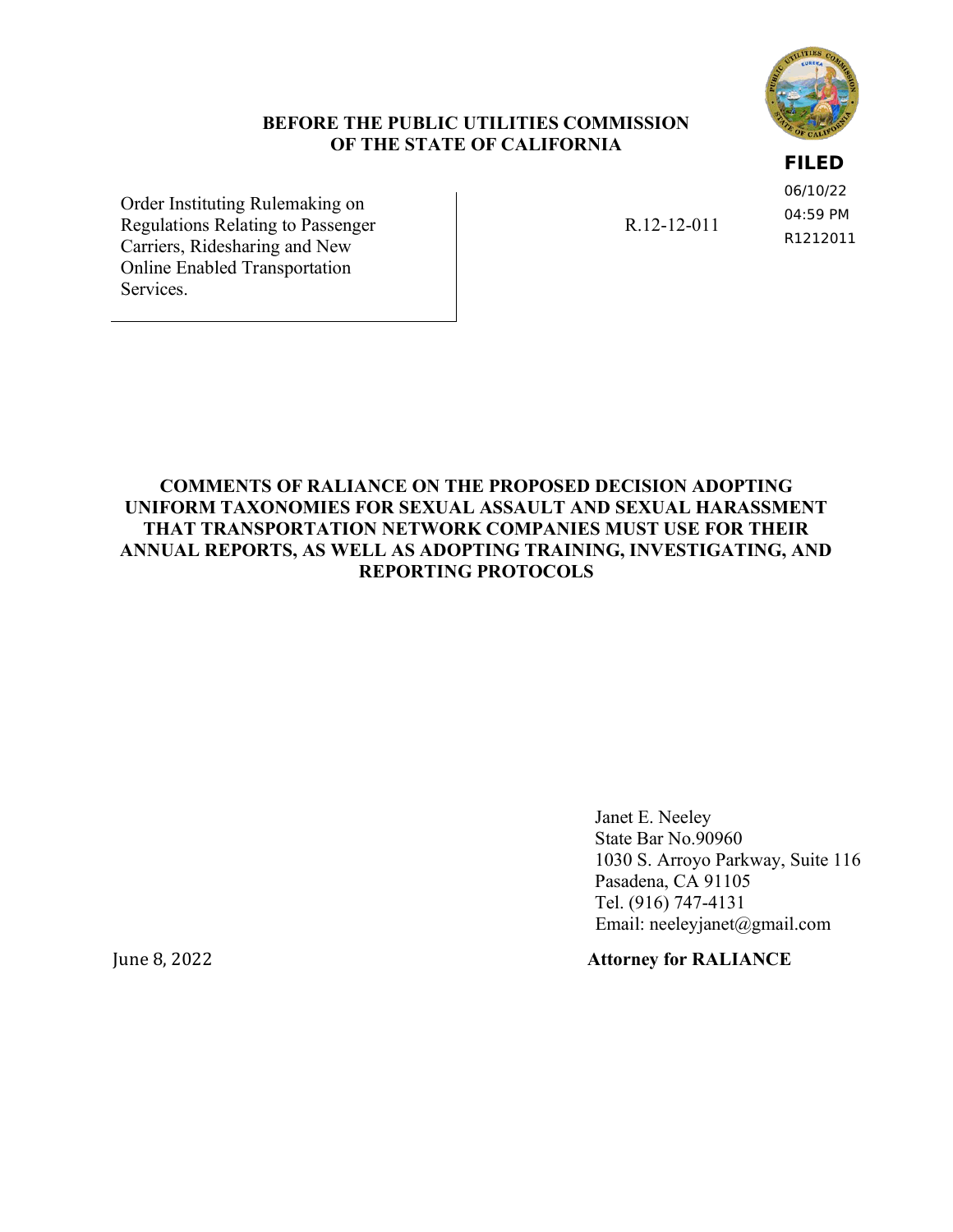### **BEFORE THE PUBLIC UTILITIES COMMISSION OF THE STATE OF CALIFORNIA**

### **FILED**

06/10/22 04:59 PM R1212011

Order Instituting Rulemaking on Regulations Relating to Passenger Carriers, Ridesharing and New Online Enabled Transportation Services.

R.12-12-011

**COMMENTS OF RALIANCE ON THE [PROPOSED DECISION A](http://docs.cpuc.ca.gov/PublishedDocs/Efile/G000/M326/K933/326933637.PDF)DOPTING UNIFORM TAXONOMIES FOR SEXUAL ASSAULT AND SEXUAL HARASSMENT THAT TRANSPORTATION NETWORK COMPANIES MUST USE FOR THEIR ANNUAL REPORTS, AS WELL AS ADOPTING TRAINING, INVESTIGATING, AND REPORTING PROTOCOLS**

> Janet E. Neeley State Bar No.90960 1030 S. Arroyo Parkway, Suite 116 Pasadena, CA 91105 Tel. (916) 747-4131 Email: neeleyjanet@gmail.com

June 8, 2022 **Attorney for RALIANCE**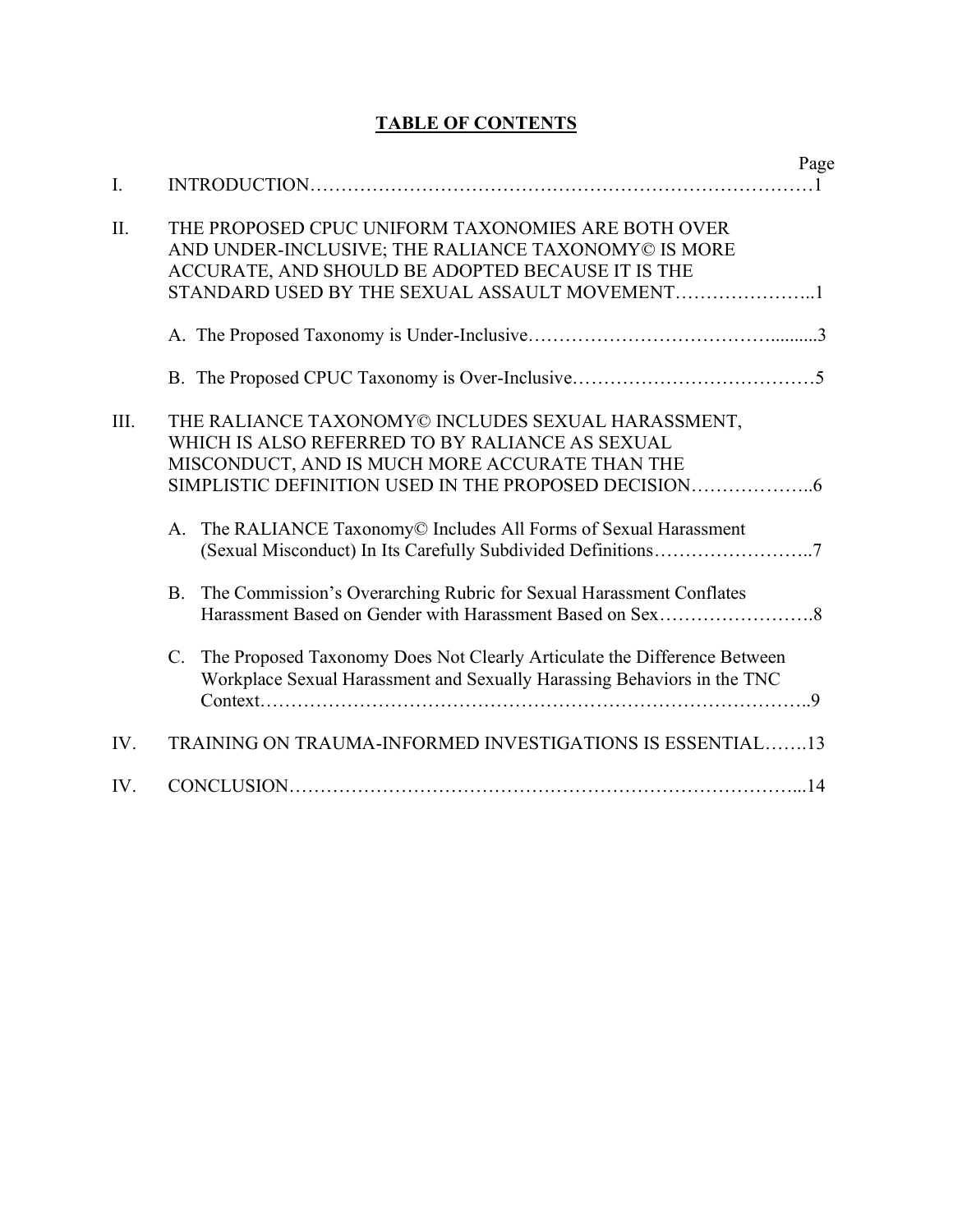| I.   |                                                                                                                                                                    | Page |
|------|--------------------------------------------------------------------------------------------------------------------------------------------------------------------|------|
| II.  | THE PROPOSED CPUC UNIFORM TAXONOMIES ARE BOTH OVER<br>AND UNDER-INCLUSIVE; THE RALIANCE TAXONOMY© IS MORE<br>ACCURATE, AND SHOULD BE ADOPTED BECAUSE IT IS THE     |      |
|      |                                                                                                                                                                    |      |
|      |                                                                                                                                                                    |      |
| III. | THE RALIANCE TAXONOMY© INCLUDES SEXUAL HARASSMENT,<br>WHICH IS ALSO REFERRED TO BY RALIANCE AS SEXUAL<br>MISCONDUCT, AND IS MUCH MORE ACCURATE THAN THE            |      |
|      | A. The RALIANCE Taxonomy© Includes All Forms of Sexual Harassment                                                                                                  |      |
|      | The Commission's Overarching Rubric for Sexual Harassment Conflates<br><b>B.</b>                                                                                   |      |
|      | The Proposed Taxonomy Does Not Clearly Articulate the Difference Between<br>$C_{\cdot}$<br>Workplace Sexual Harassment and Sexually Harassing Behaviors in the TNC |      |
| IV.  | TRAINING ON TRAUMA-INFORMED INVESTIGATIONS IS ESSENTIAL13                                                                                                          |      |
| IV.  |                                                                                                                                                                    |      |

## **TABLE OF CONTENTS**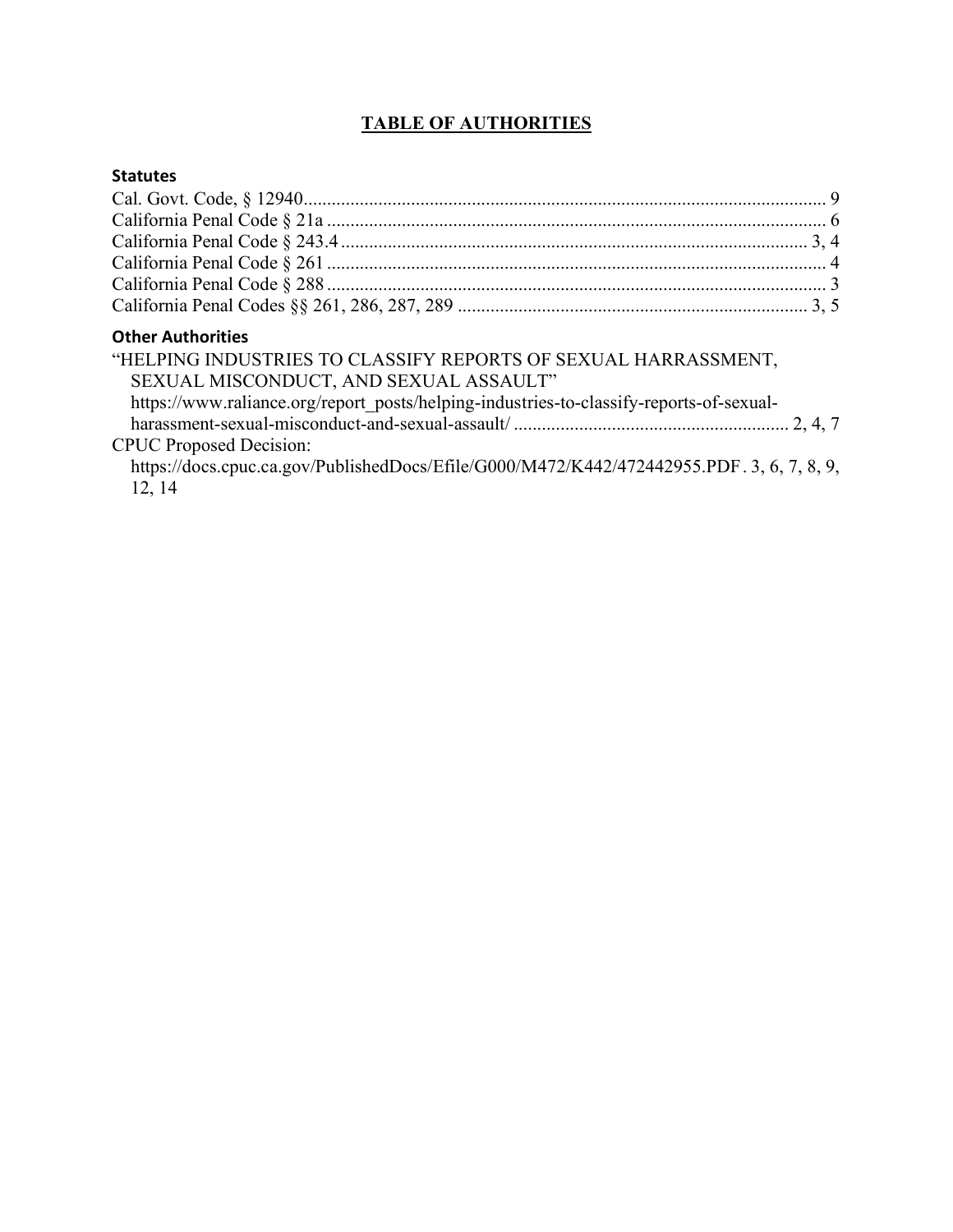### **TABLE OF AUTHORITIES**

### **Statutes**

| <b>Other Authorities</b>                                                                  |  |
|-------------------------------------------------------------------------------------------|--|
| "HELPING INDUSTRIES TO CLASSIFY REPORTS OF SEXUAL HARRASSMENT,                            |  |
| SEXUAL MISCONDUCT, AND SEXUAL ASSAULT"                                                    |  |
| https://www.raliance.org/report_posts/helping-industries-to-classify-reports-of-sexual-   |  |
|                                                                                           |  |
| <b>CPUC</b> Proposed Decision:                                                            |  |
| https://docs.cpuc.ca.gov/PublishedDocs/Efile/G000/M472/K442/472442955.PDF. 3, 6, 7, 8, 9, |  |
| 12, 14                                                                                    |  |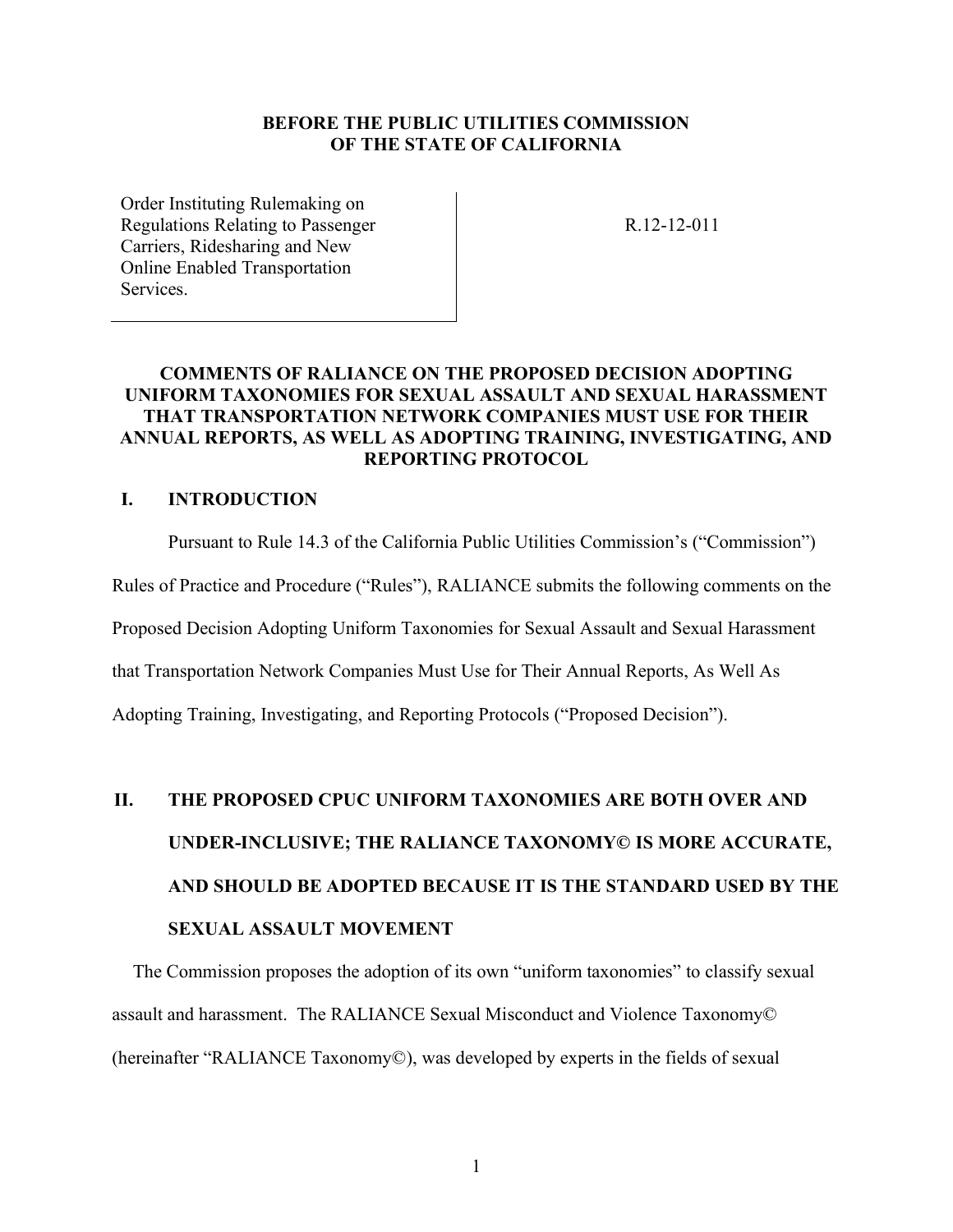### **BEFORE THE PUBLIC UTILITIES COMMISSION OF THE STATE OF CALIFORNIA**

Order Instituting Rulemaking on Regulations Relating to Passenger Carriers, Ridesharing and New Online Enabled Transportation **Services** 

R.12-12-011

### **COMMENTS OF RALIANCE ON THE [PROPOSED DECISION A](http://docs.cpuc.ca.gov/PublishedDocs/Efile/G000/M326/K933/326933637.PDF)DOPTING UNIFORM TAXONOMIES FOR SEXUAL ASSAULT AND SEXUAL HARASSMENT THAT TRANSPORTATION NETWORK COMPANIES MUST USE FOR THEIR ANNUAL REPORTS, AS WELL AS ADOPTING TRAINING, INVESTIGATING, AND REPORTING PROTOCOL**

### **I. INTRODUCTION**

Pursuant to Rule 14.3 of the California Public Utilities Commission's ("Commission")

Rules of Practice and Procedure ("Rules"), RALIANCE submits the following comments on the

Proposed Decision Adopting Uniform Taxonomies for Sexual Assault and Sexual Harassment

that Transportation Network Companies Must Use for Their Annual Reports, As Well As

Adopting Training, Investigating, and Reporting Protocols ("Proposed Decision").

# **II. THE PROPOSED CPUC UNIFORM TAXONOMIES ARE BOTH OVER AND UNDER-INCLUSIVE; THE RALIANCE TAXONOMY© IS MORE ACCURATE, AND SHOULD BE ADOPTED BECAUSE IT IS THE STANDARD USED BY THE SEXUAL ASSAULT MOVEMENT**

The Commission proposes the adoption of its own "uniform taxonomies" to classify sexual assault and harassment. The RALIANCE Sexual Misconduct and Violence Taxonomy© (hereinafter "RALIANCE Taxonomy©), was developed by experts in the fields of sexual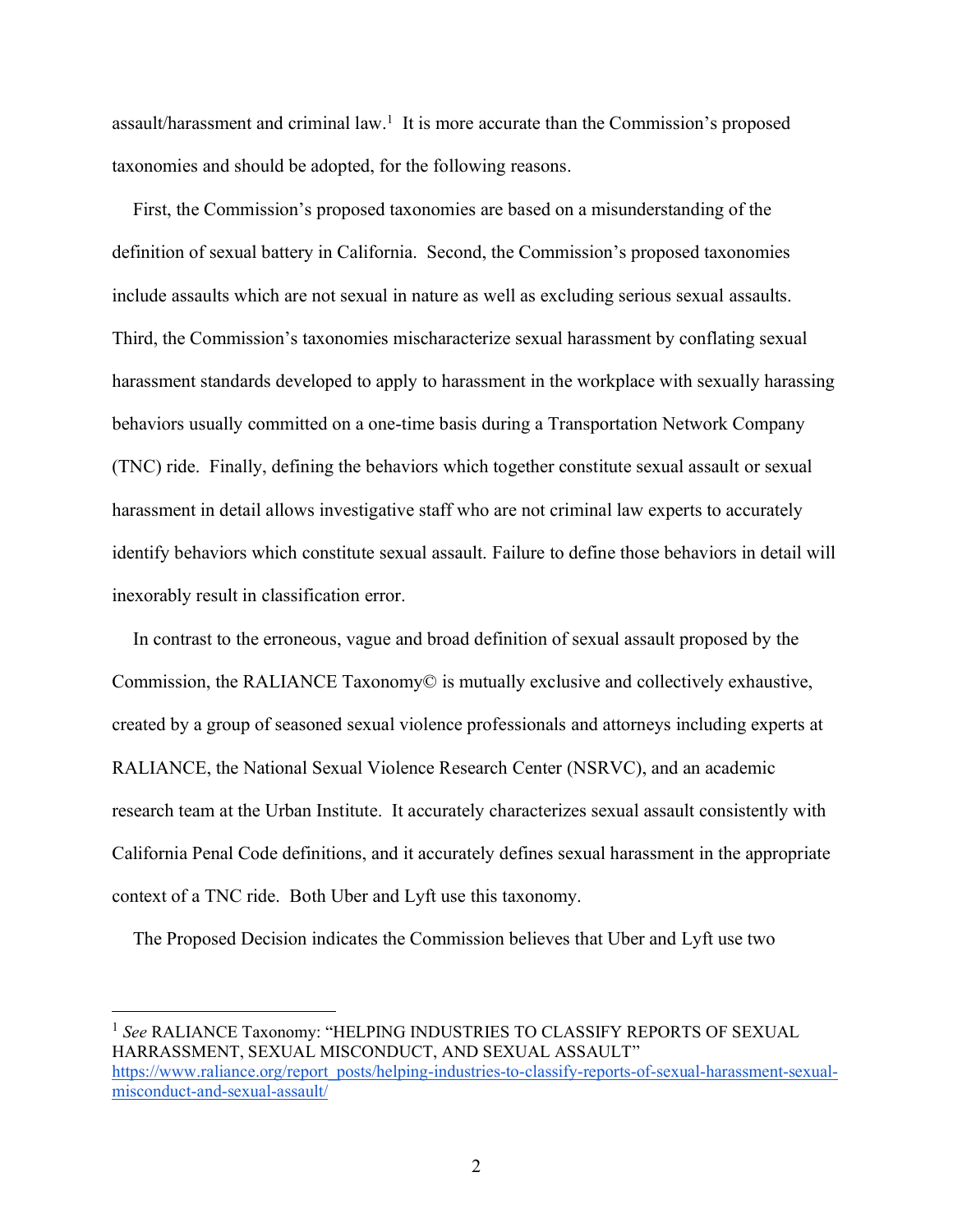assault/harassment and criminal law.<sup>1</sup> It is more accurate than the Commission's proposed taxonomies and should be adopted, for the following reasons.

First, the Commission's proposed taxonomies are based on a misunderstanding of the definition of sexual battery in California. Second, the Commission's proposed taxonomies include assaults which are not sexual in nature as well as excluding serious sexual assaults. Third, the Commission's taxonomies mischaracterize sexual harassment by conflating sexual harassment standards developed to apply to harassment in the workplace with sexually harassing behaviors usually committed on a one-time basis during a Transportation Network Company (TNC) ride. Finally, defining the behaviors which together constitute sexual assault or sexual harassment in detail allows investigative staff who are not criminal law experts to accurately identify behaviors which constitute sexual assault. Failure to define those behaviors in detail will inexorably result in classification error.

In contrast to the erroneous, vague and broad definition of sexual assault proposed by the Commission, the RALIANCE Taxonomy© is mutually exclusive and collectively exhaustive, created by a group of seasoned sexual violence professionals and attorneys including experts at RALIANCE, the National Sexual Violence Research Center (NSRVC), and an academic research team at the Urban Institute. It accurately characterizes sexual assault consistently with California Penal Code definitions, and it accurately defines sexual harassment in the appropriate context of a TNC ride. Both Uber and Lyft use this taxonomy.

The Proposed Decision indicates the Commission believes that Uber and Lyft use two

<sup>1</sup> See RALIANCE Taxonomy: "HELPING INDUSTRIES TO CLASSIFY REPORTS OF SEXUAL HARRASSMENT, SEXUAL MISCONDUCT, AND SEXUAL ASSAULT" [https://www.raliance.org/report\\_posts/helping-industries-to-classify-reports-of-sexual-harassment-sexual](https://www.raliance.org/report_posts/helping-industries-to-classify-reports-of-sexual-harassment-sexual-misconduct-and-sexual-assault/)[misconduct-and-sexual-assault/](https://www.raliance.org/report_posts/helping-industries-to-classify-reports-of-sexual-harassment-sexual-misconduct-and-sexual-assault/)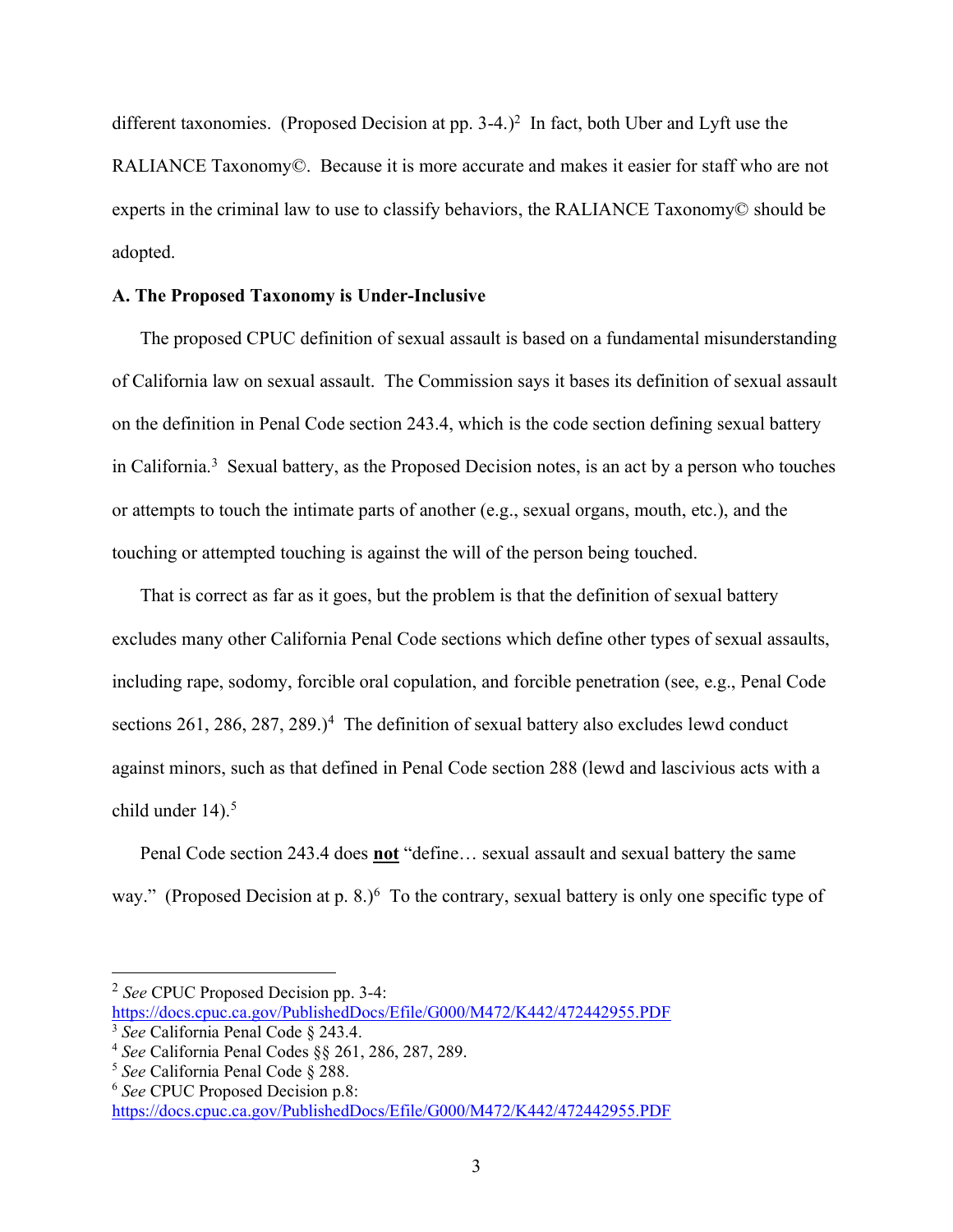different taxonomies. (Proposed Decision at pp. 3-4.)<sup>2</sup> In fact, both Uber and Lyft use the RALIANCE Taxonomy©. Because it is more accurate and makes it easier for staff who are not experts in the criminal law to use to classify behaviors, the RALIANCE Taxonomy© should be adopted.

### **A. The Proposed Taxonomy is Under-Inclusive**

The proposed CPUC definition of sexual assault is based on a fundamental misunderstanding of California law on sexual assault. The Commission says it bases its definition of sexual assault on the definition in Penal Code section 243.4, which is the code section defining sexual battery in California.<sup>3</sup> Sexual battery, as the Proposed Decision notes, is an act by a person who touches or attempts to touch the intimate parts of another (e.g., sexual organs, mouth, etc.), and the touching or attempted touching is against the will of the person being touched.

That is correct as far as it goes, but the problem is that the definition of sexual battery excludes many other California Penal Code sections which define other types of sexual assaults, including rape, sodomy, forcible oral copulation, and forcible penetration (see, e.g., Penal Code sections 261, 286, 287, 289.)<sup>4</sup> The definition of sexual battery also excludes lewd conduct against minors, such as that defined in Penal Code section 288 (lewd and lascivious acts with a child under  $14$ ).<sup>5</sup>

Penal Code section 243.4 does **not** "define… sexual assault and sexual battery the same way." (Proposed Decision at p. 8.) $<sup>6</sup>$  To the contrary, sexual battery is only one specific type of</sup>

<sup>2</sup> *See* CPUC Proposed Decision pp. 3-4: <https://docs.cpuc.ca.gov/PublishedDocs/Efile/G000/M472/K442/472442955.PDF>

<sup>3</sup> *See* California Penal Code § 243.4.

<sup>4</sup> *See* California Penal Codes §§ 261, 286, 287, 289.

<sup>5</sup> *See* California Penal Code § 288.

<sup>6</sup> *See* CPUC Proposed Decision p.8: <https://docs.cpuc.ca.gov/PublishedDocs/Efile/G000/M472/K442/472442955.PDF>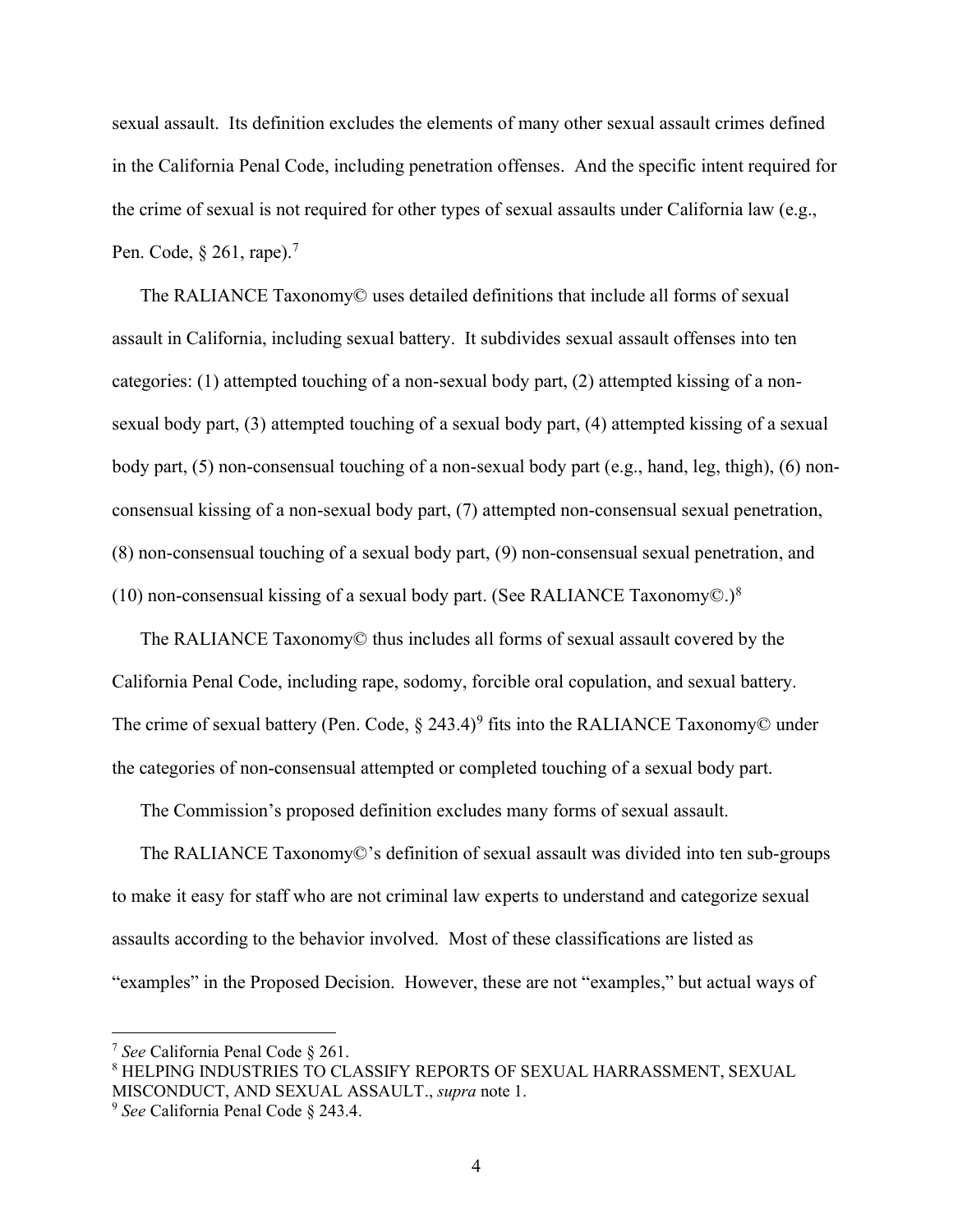sexual assault. Its definition excludes the elements of many other sexual assault crimes defined in the California Penal Code, including penetration offenses. And the specific intent required for the crime of sexual is not required for other types of sexual assaults under California law (e.g., Pen. Code, § 261, rape).<sup>7</sup>

The RALIANCE Taxonomy© uses detailed definitions that include all forms of sexual assault in California, including sexual battery. It subdivides sexual assault offenses into ten categories: (1) attempted touching of a non-sexual body part, (2) attempted kissing of a nonsexual body part, (3) attempted touching of a sexual body part, (4) attempted kissing of a sexual body part, (5) non-consensual touching of a non-sexual body part (e.g., hand, leg, thigh), (6) nonconsensual kissing of a non-sexual body part, (7) attempted non-consensual sexual penetration, (8) non-consensual touching of a sexual body part, (9) non-consensual sexual penetration, and (10) non-consensual kissing of a sexual body part. (See RALIANCE Taxonomy $\odot$ .)<sup>8</sup>

The RALIANCE Taxonomy© thus includes all forms of sexual assault covered by the California Penal Code, including rape, sodomy, forcible oral copulation, and sexual battery. The crime of sexual battery (Pen. Code,  $\S$  243.4)<sup>9</sup> fits into the RALIANCE Taxonomy© under the categories of non-consensual attempted or completed touching of a sexual body part.

The Commission's proposed definition excludes many forms of sexual assault.

The RALIANCE Taxonomy©'s definition of sexual assault was divided into ten sub-groups to make it easy for staff who are not criminal law experts to understand and categorize sexual assaults according to the behavior involved. Most of these classifications are listed as "examples" in the Proposed Decision. However, these are not "examples," but actual ways of

<sup>7</sup> *See* California Penal Code § 261.

<sup>8</sup> HELPING INDUSTRIES TO CLASSIFY REPORTS OF SEXUAL HARRASSMENT, SEXUAL MISCONDUCT, AND SEXUAL ASSAULT., *supra* note 1.

<sup>9</sup> *See* California Penal Code § 243.4.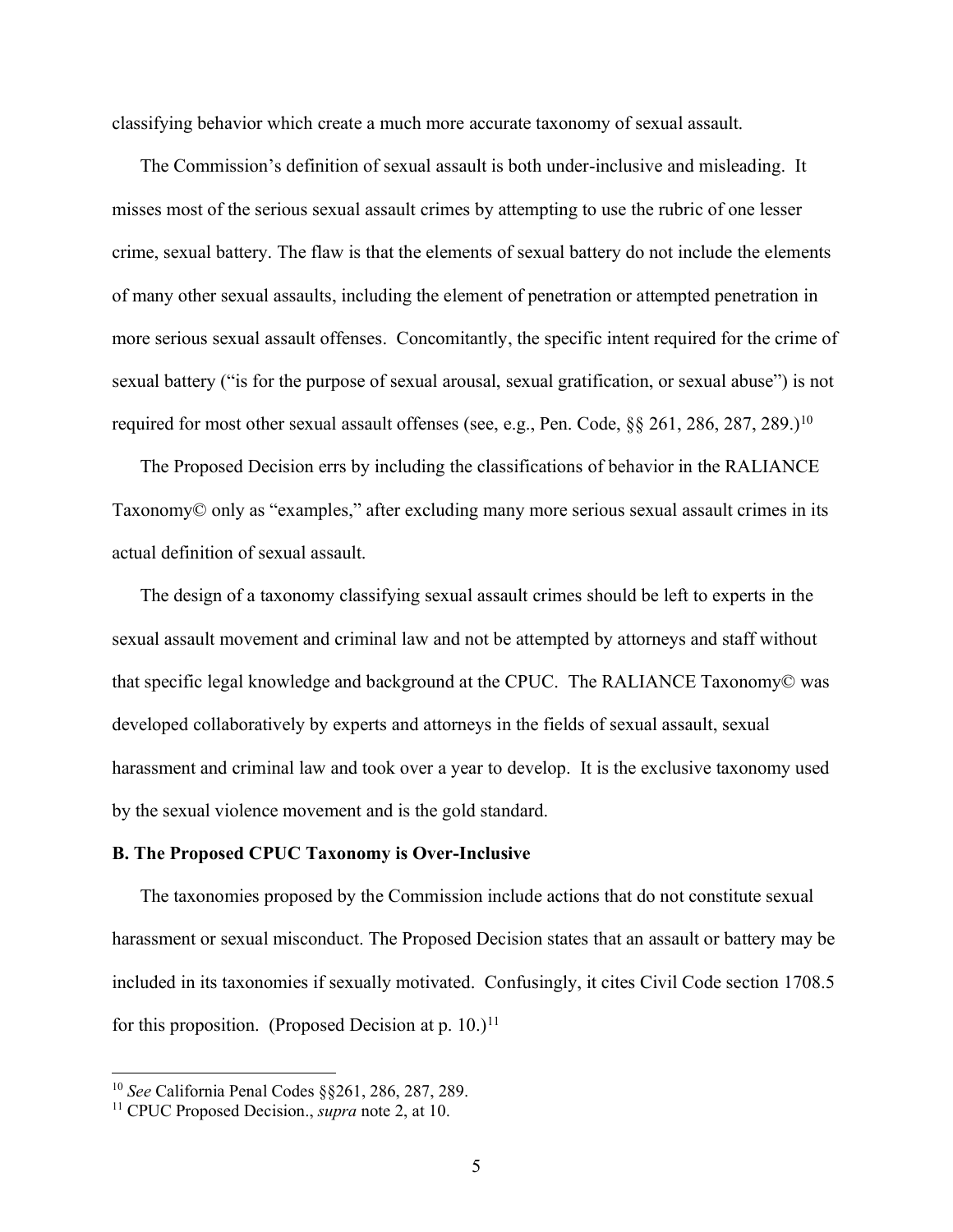classifying behavior which create a much more accurate taxonomy of sexual assault.

The Commission's definition of sexual assault is both under-inclusive and misleading. It misses most of the serious sexual assault crimes by attempting to use the rubric of one lesser crime, sexual battery. The flaw is that the elements of sexual battery do not include the elements of many other sexual assaults, including the element of penetration or attempted penetration in more serious sexual assault offenses. Concomitantly, the specific intent required for the crime of sexual battery ("is for the purpose of sexual arousal, sexual gratification, or sexual abuse") is not required for most other sexual assault offenses (see, e.g., Pen. Code, §§ 261, 286, 287, 289.)<sup>10</sup>

The Proposed Decision errs by including the classifications of behavior in the RALIANCE Taxonomy© only as "examples," after excluding many more serious sexual assault crimes in its actual definition of sexual assault.

The design of a taxonomy classifying sexual assault crimes should be left to experts in the sexual assault movement and criminal law and not be attempted by attorneys and staff without that specific legal knowledge and background at the CPUC. The RALIANCE Taxonomy© was developed collaboratively by experts and attorneys in the fields of sexual assault, sexual harassment and criminal law and took over a year to develop. It is the exclusive taxonomy used by the sexual violence movement and is the gold standard.

### **B. The Proposed CPUC Taxonomy is Over-Inclusive**

The taxonomies proposed by the Commission include actions that do not constitute sexual harassment or sexual misconduct. The Proposed Decision states that an assault or battery may be included in its taxonomies if sexually motivated. Confusingly, it cites Civil Code section 1708.5 for this proposition. (Proposed Decision at p. 10.)<sup>11</sup>

<sup>10</sup> *See* California Penal Codes §§261, 286, 287, 289.

<sup>11</sup> CPUC Proposed Decision., *supra* note 2, at 10.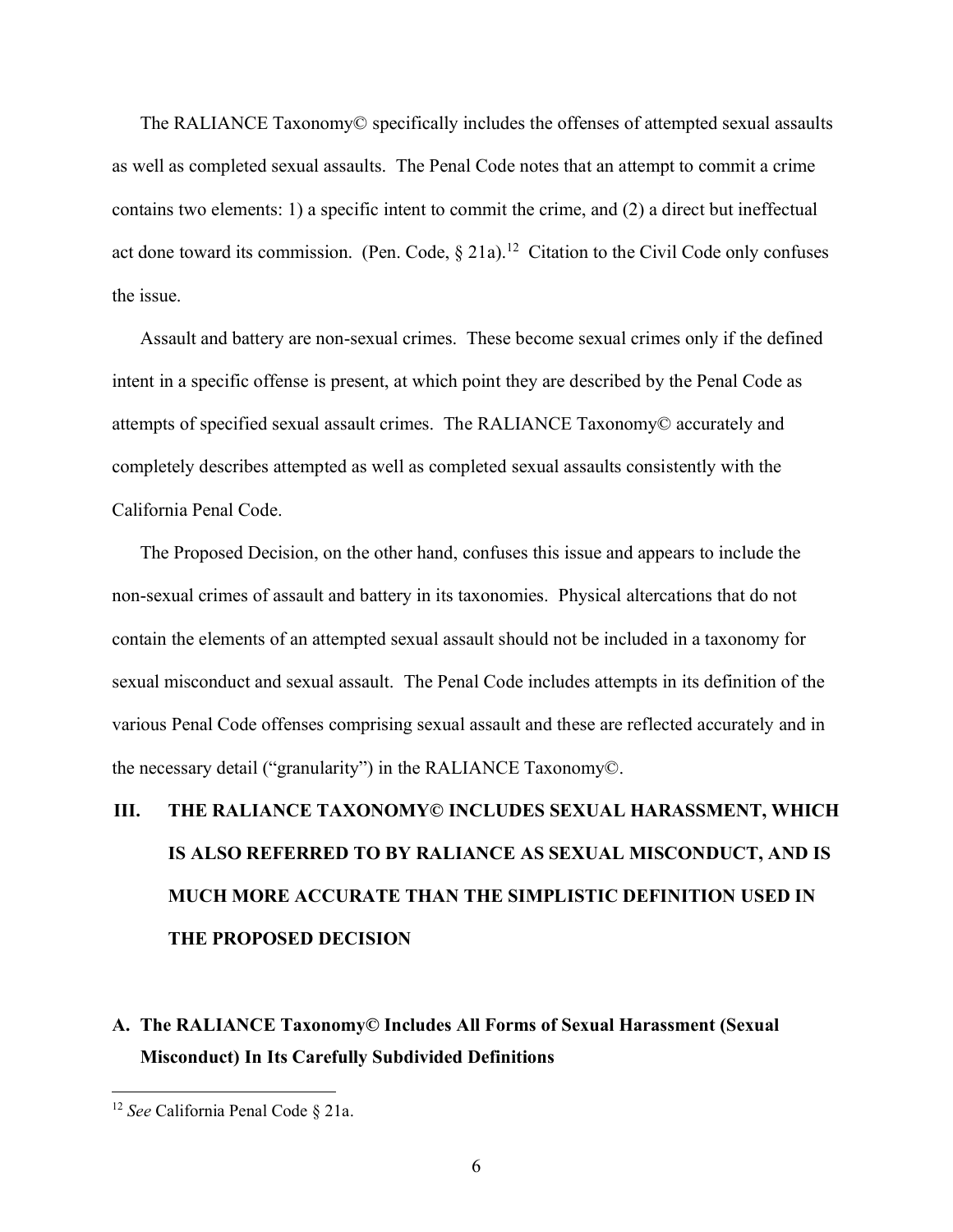The RALIANCE Taxonomy© specifically includes the offenses of attempted sexual assaults as well as completed sexual assaults. The Penal Code notes that an attempt to commit a crime contains two elements: 1) a specific intent to commit the crime, and (2) a direct but ineffectual act done toward its commission. (Pen. Code,  $\S$  21a).<sup>12</sup> Citation to the Civil Code only confuses the issue.

Assault and battery are non-sexual crimes. These become sexual crimes only if the defined intent in a specific offense is present, at which point they are described by the Penal Code as attempts of specified sexual assault crimes. The RALIANCE Taxonomy© accurately and completely describes attempted as well as completed sexual assaults consistently with the California Penal Code.

The Proposed Decision, on the other hand, confuses this issue and appears to include the non-sexual crimes of assault and battery in its taxonomies. Physical altercations that do not contain the elements of an attempted sexual assault should not be included in a taxonomy for sexual misconduct and sexual assault. The Penal Code includes attempts in its definition of the various Penal Code offenses comprising sexual assault and these are reflected accurately and in the necessary detail ("granularity") in the RALIANCE Taxonomy©.

# **III. THE RALIANCE TAXONOMY© INCLUDES SEXUAL HARASSMENT, WHICH IS ALSO REFERRED TO BY RALIANCE AS SEXUAL MISCONDUCT, AND IS MUCH MORE ACCURATE THAN THE SIMPLISTIC DEFINITION USED IN THE PROPOSED DECISION**

# **A. The RALIANCE Taxonomy© Includes All Forms of Sexual Harassment (Sexual Misconduct) In Its Carefully Subdivided Definitions**

<sup>12</sup> *See* California Penal Code § 21a.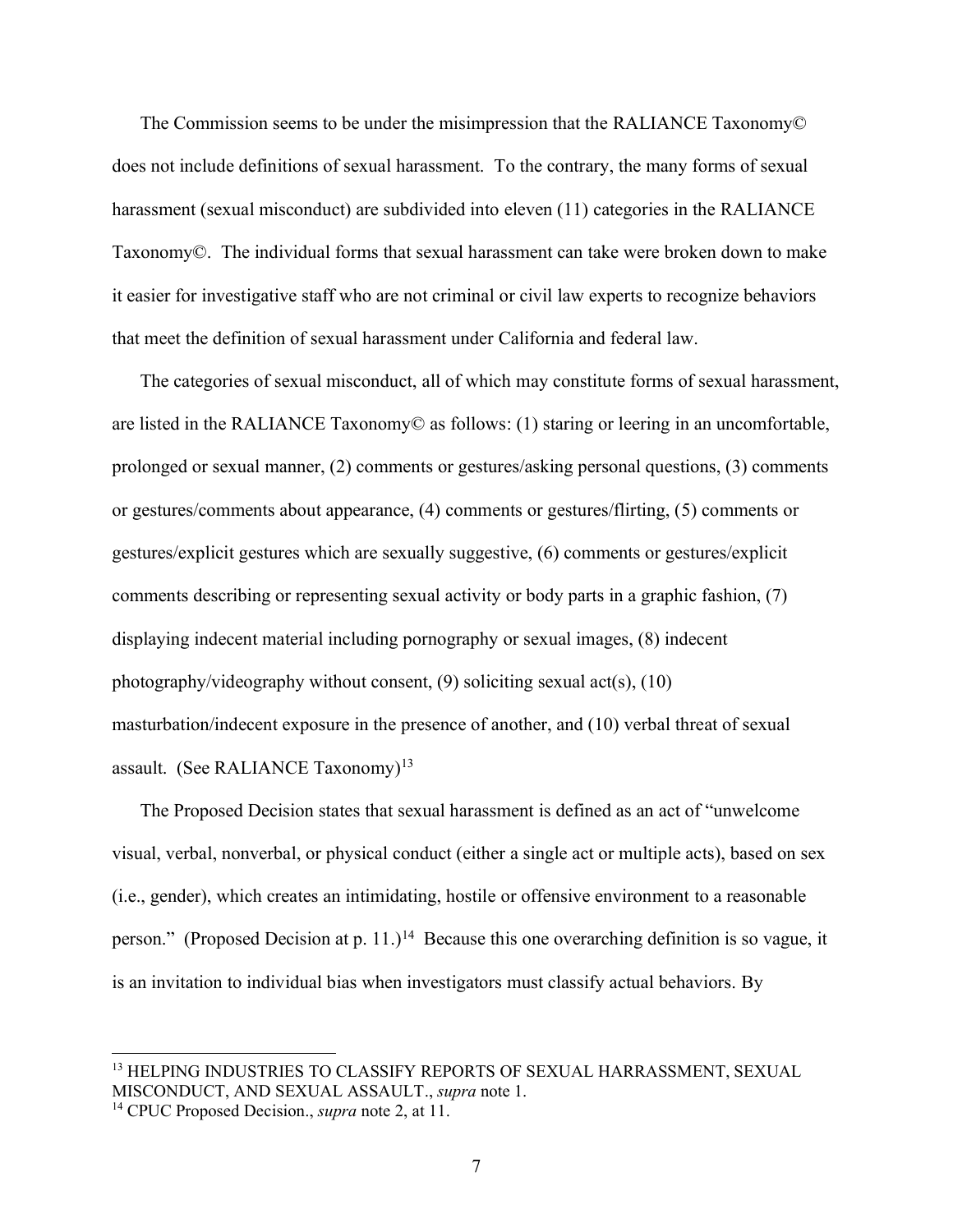The Commission seems to be under the misimpression that the RALIANCE Taxonomy© does not include definitions of sexual harassment. To the contrary, the many forms of sexual harassment (sexual misconduct) are subdivided into eleven (11) categories in the RALIANCE Taxonomy©. The individual forms that sexual harassment can take were broken down to make it easier for investigative staff who are not criminal or civil law experts to recognize behaviors that meet the definition of sexual harassment under California and federal law.

The categories of sexual misconduct, all of which may constitute forms of sexual harassment, are listed in the RALIANCE Taxonomy© as follows: (1) staring or leering in an uncomfortable, prolonged or sexual manner, (2) comments or gestures/asking personal questions, (3) comments or gestures/comments about appearance, (4) comments or gestures/flirting, (5) comments or gestures/explicit gestures which are sexually suggestive, (6) comments or gestures/explicit comments describing or representing sexual activity or body parts in a graphic fashion, (7) displaying indecent material including pornography or sexual images, (8) indecent photography/videography without consent, (9) soliciting sexual act(s), (10) masturbation/indecent exposure in the presence of another, and (10) verbal threat of sexual assault. (See RALIANCE Taxonomy)<sup>13</sup>

The Proposed Decision states that sexual harassment is defined as an act of "unwelcome visual, verbal, nonverbal, or physical conduct (either a single act or multiple acts), based on sex (i.e., gender), which creates an intimidating, hostile or offensive environment to a reasonable person." (Proposed Decision at p. 11.)<sup>14</sup> Because this one overarching definition is so vague, it is an invitation to individual bias when investigators must classify actual behaviors. By

<sup>&</sup>lt;sup>13</sup> HELPING INDUSTRIES TO CLASSIFY REPORTS OF SEXUAL HARRASSMENT, SEXUAL MISCONDUCT, AND SEXUAL ASSAULT., *supra* note 1.

<sup>14</sup> CPUC Proposed Decision., *supra* note 2, at 11.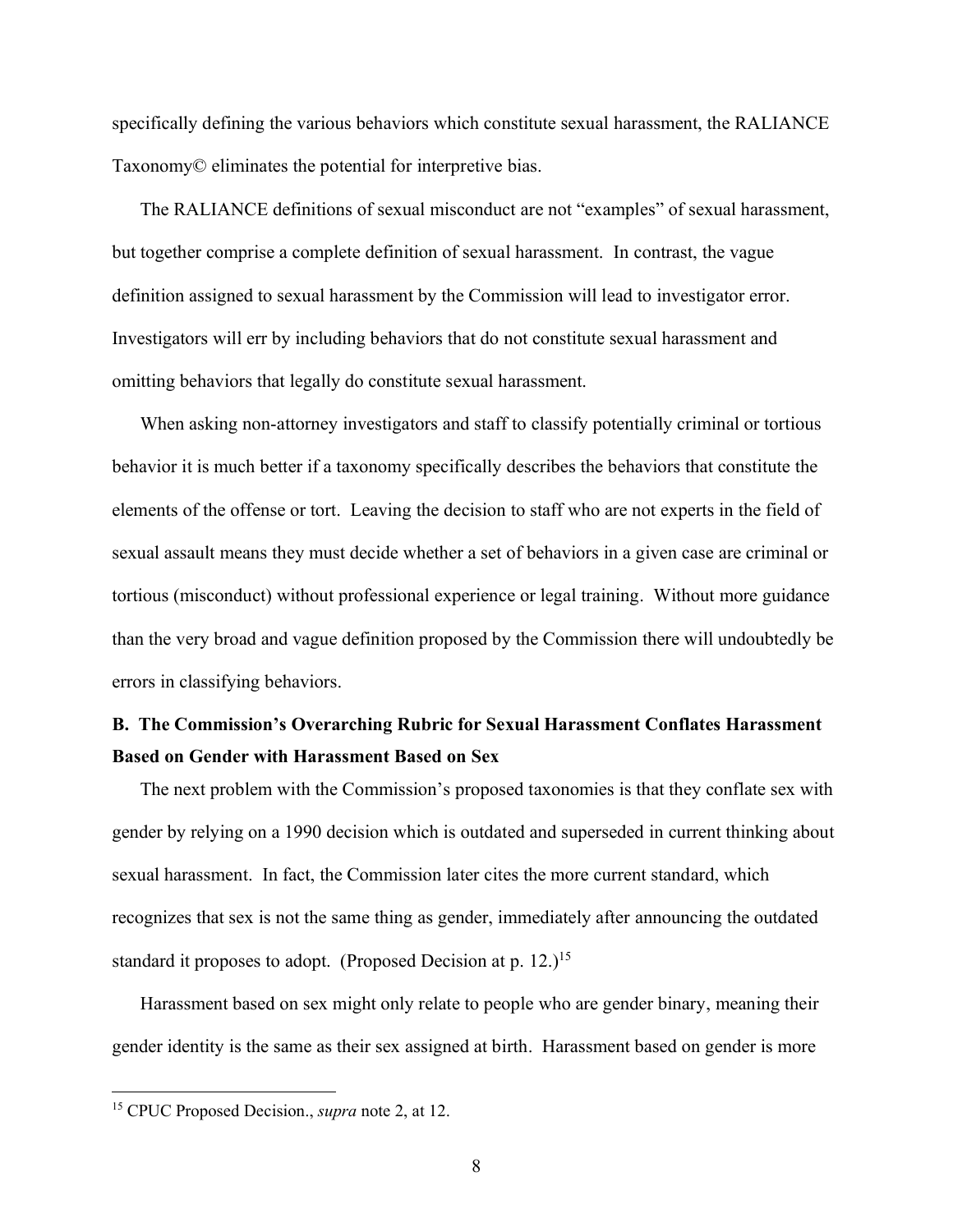specifically defining the various behaviors which constitute sexual harassment, the RALIANCE Taxonomy© eliminates the potential for interpretive bias.

The RALIANCE definitions of sexual misconduct are not "examples" of sexual harassment, but together comprise a complete definition of sexual harassment. In contrast, the vague definition assigned to sexual harassment by the Commission will lead to investigator error. Investigators will err by including behaviors that do not constitute sexual harassment and omitting behaviors that legally do constitute sexual harassment.

When asking non-attorney investigators and staff to classify potentially criminal or tortious behavior it is much better if a taxonomy specifically describes the behaviors that constitute the elements of the offense or tort. Leaving the decision to staff who are not experts in the field of sexual assault means they must decide whether a set of behaviors in a given case are criminal or tortious (misconduct) without professional experience or legal training. Without more guidance than the very broad and vague definition proposed by the Commission there will undoubtedly be errors in classifying behaviors.

# **B. The Commission's Overarching Rubric for Sexual Harassment Conflates Harassment Based on Gender with Harassment Based on Sex**

The next problem with the Commission's proposed taxonomies is that they conflate sex with gender by relying on a 1990 decision which is outdated and superseded in current thinking about sexual harassment. In fact, the Commission later cites the more current standard, which recognizes that sex is not the same thing as gender, immediately after announcing the outdated standard it proposes to adopt. (Proposed Decision at p. 12.)<sup>15</sup>

Harassment based on sex might only relate to people who are gender binary, meaning their gender identity is the same as their sex assigned at birth. Harassment based on gender is more

<sup>15</sup> CPUC Proposed Decision., *supra* note 2, at 12.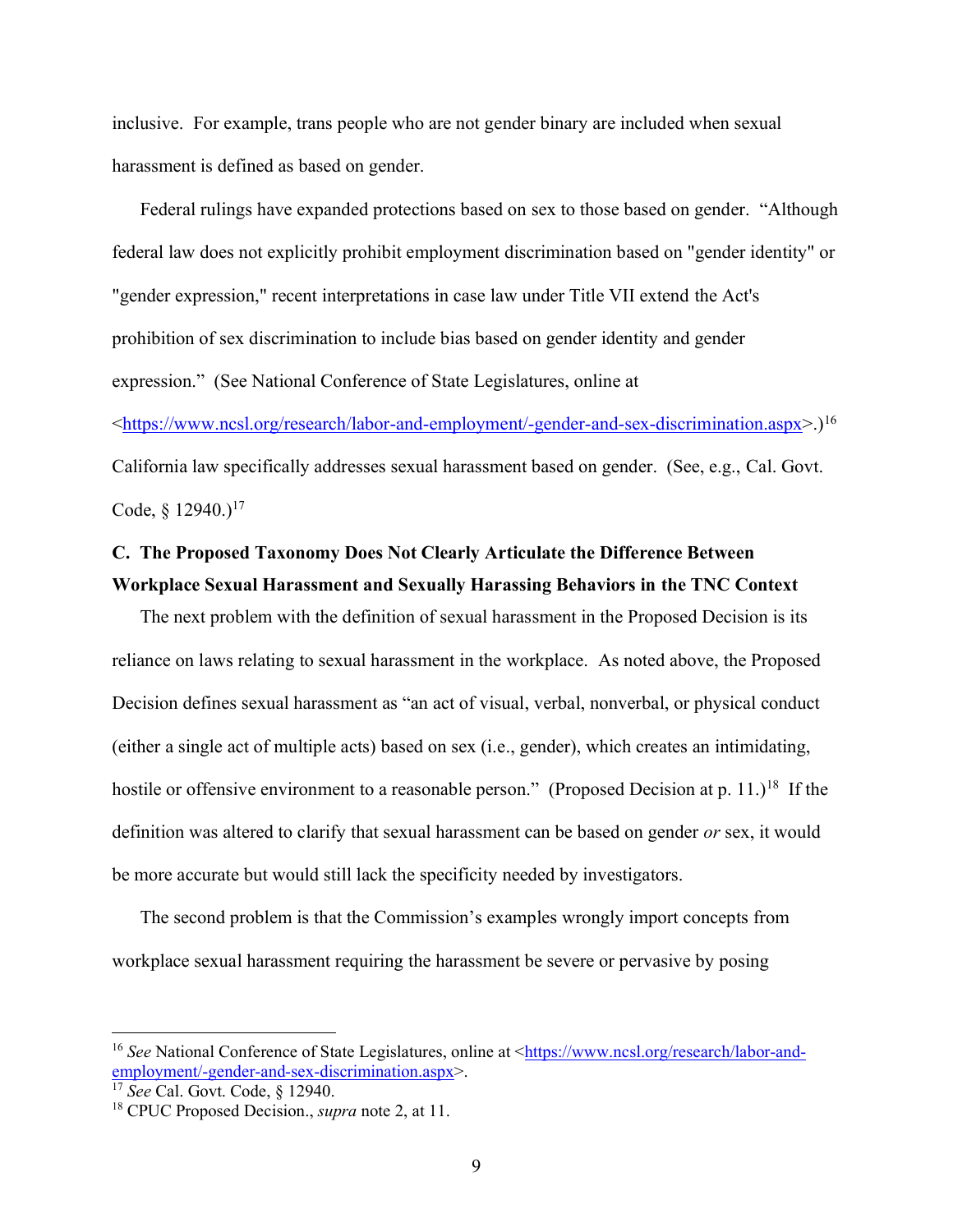inclusive. For example, trans people who are not gender binary are included when sexual harassment is defined as based on gender.

Federal rulings have expanded protections based on sex to those based on gender. "Although federal law does not explicitly prohibit employment discrimination based on "gender identity" or "gender expression," recent interpretations in case law under Title VII extend the Act's prohibition of sex discrimination to include bias based on gender identity and gender expression." (See National Conference of State Legislatures, online at [<https://www.ncsl.org/research/labor-and-employment/-gender-and-sex-discrimination.aspx>](https://www.ncsl.org/research/labor-and-employment/-gender-and-sex-discrimination.aspx).)<sup>16</sup> California law specifically addresses sexual harassment based on gender. (See, e.g., Cal. Govt. Code,  $\{12940.\}^{17}$ 

# **C. The Proposed Taxonomy Does Not Clearly Articulate the Difference Between Workplace Sexual Harassment and Sexually Harassing Behaviors in the TNC Context**

The next problem with the definition of sexual harassment in the Proposed Decision is its reliance on laws relating to sexual harassment in the workplace. As noted above, the Proposed Decision defines sexual harassment as "an act of visual, verbal, nonverbal, or physical conduct (either a single act of multiple acts) based on sex (i.e., gender), which creates an intimidating, hostile or offensive environment to a reasonable person." (Proposed Decision at p. 11.)<sup>18</sup> If the definition was altered to clarify that sexual harassment can be based on gender *or* sex, it would be more accurate but would still lack the specificity needed by investigators.

The second problem is that the Commission's examples wrongly import concepts from workplace sexual harassment requiring the harassment be severe or pervasive by posing

<sup>&</sup>lt;sup>16</sup> *See* National Conference of State Legislatures, online at [<https://www.ncsl.org/research/labor-and](https://www.ncsl.org/research/labor-and-employment/-gender-and-sex-discrimination.aspx)[employment/-gender-and-sex-discrimination.aspx>](https://www.ncsl.org/research/labor-and-employment/-gender-and-sex-discrimination.aspx).

<sup>17</sup> *See* Cal. Govt. Code, § 12940.

<sup>18</sup> CPUC Proposed Decision., *supra* note 2, at 11.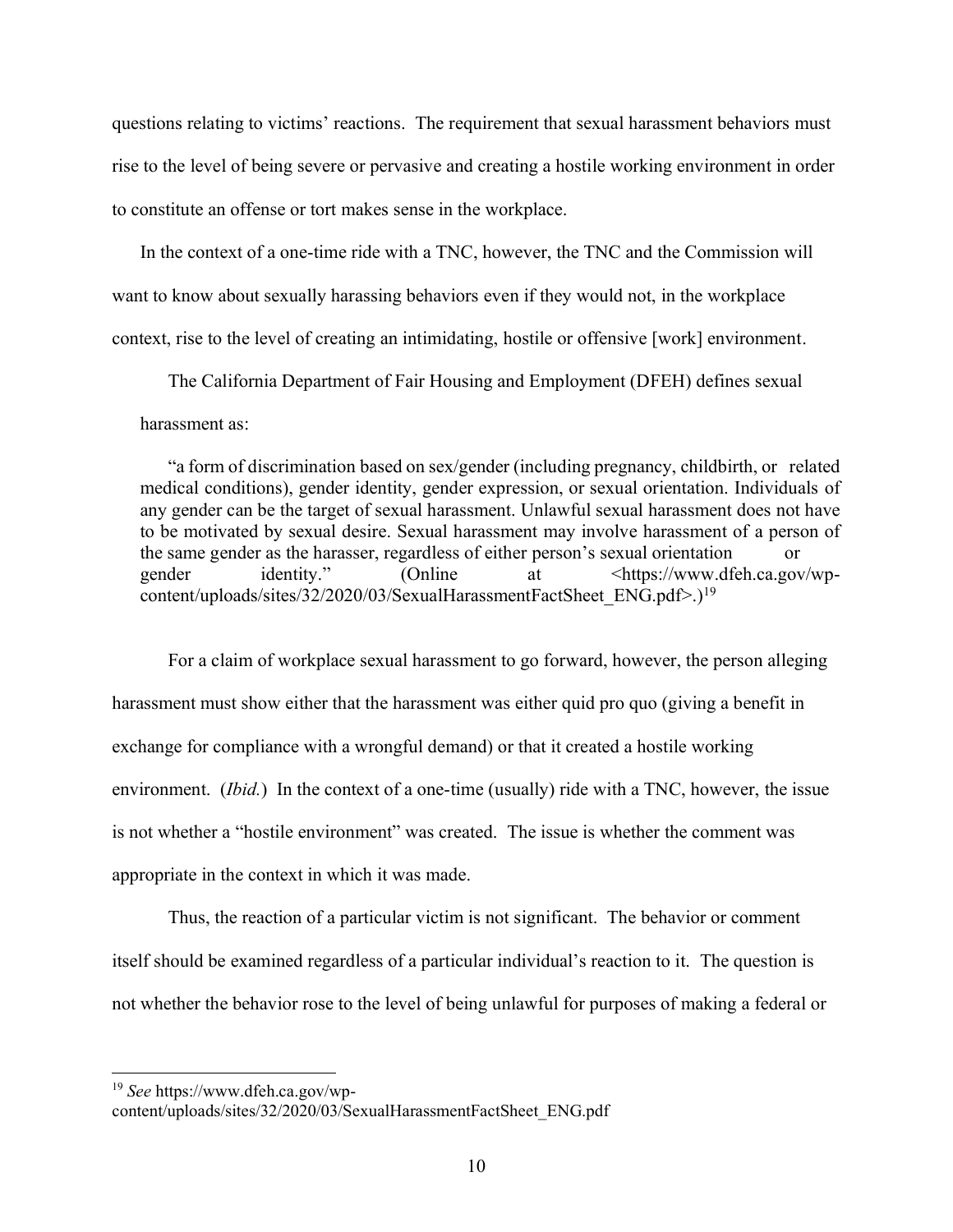questions relating to victims' reactions. The requirement that sexual harassment behaviors must rise to the level of being severe or pervasive and creating a hostile working environment in order to constitute an offense or tort makes sense in the workplace.

In the context of a one-time ride with a TNC, however, the TNC and the Commission will want to know about sexually harassing behaviors even if they would not, in the workplace context, rise to the level of creating an intimidating, hostile or offensive [work] environment.

The California Department of Fair Housing and Employment (DFEH) defines sexual harassment as:

"a form of discrimination based on sex/gender (including pregnancy, childbirth, or related medical conditions), gender identity, gender expression, or sexual orientation. Individuals of any gender can be the target of sexual harassment. Unlawful sexual harassment does not have to be motivated by sexual desire. Sexual harassment may involve harassment of a person of the same gender as the harasser, regardless of either person's sexual orientation gender identity." (Online at <https://www.dfeh.ca.gov/wpcontent/uploads/sites/32/2020/03/SexualHarassmentFactSheet\_ENG.pdf>.)<sup>19</sup>

For a claim of workplace sexual harassment to go forward, however, the person alleging harassment must show either that the harassment was either quid pro quo (giving a benefit in exchange for compliance with a wrongful demand) or that it created a hostile working environment. *(Ibid.)* In the context of a one-time (usually) ride with a TNC, however, the issue is not whether a "hostile environment" was created. The issue is whether the comment was appropriate in the context in which it was made.

Thus, the reaction of a particular victim is not significant. The behavior or comment itself should be examined regardless of a particular individual's reaction to it. The question is not whether the behavior rose to the level of being unlawful for purposes of making a federal or

<sup>19</sup> *See* https://www.dfeh.ca.gov/wp-

content/uploads/sites/32/2020/03/SexualHarassmentFactSheet\_ENG.pdf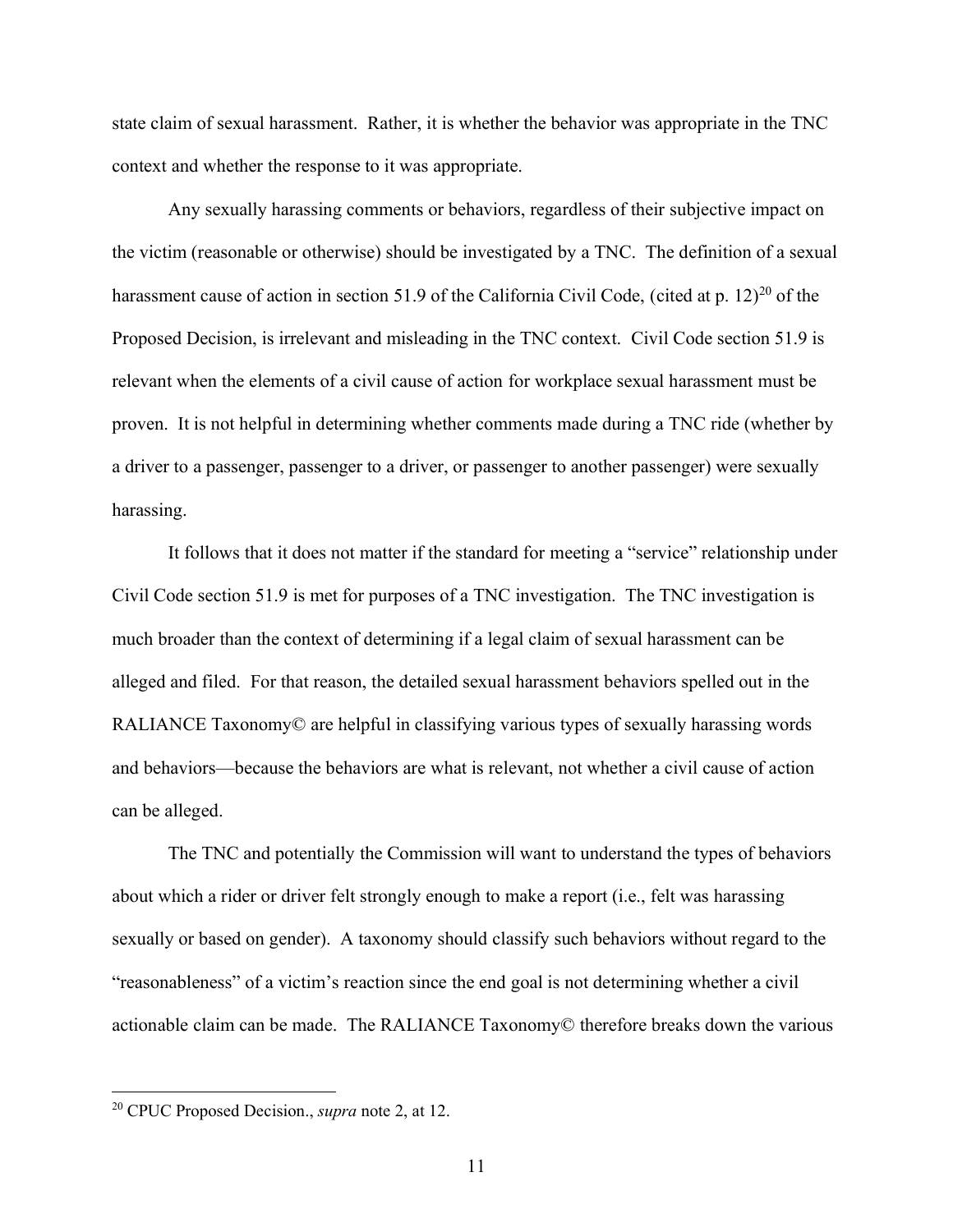state claim of sexual harassment. Rather, it is whether the behavior was appropriate in the TNC context and whether the response to it was appropriate.

Any sexually harassing comments or behaviors, regardless of their subjective impact on the victim (reasonable or otherwise) should be investigated by a TNC. The definition of a sexual harassment cause of action in section 51.9 of the California Civil Code, (cited at p. 12)<sup>20</sup> of the Proposed Decision, is irrelevant and misleading in the TNC context. Civil Code section 51.9 is relevant when the elements of a civil cause of action for workplace sexual harassment must be proven. It is not helpful in determining whether comments made during a TNC ride (whether by a driver to a passenger, passenger to a driver, or passenger to another passenger) were sexually harassing.

It follows that it does not matter if the standard for meeting a "service" relationship under Civil Code section 51.9 is met for purposes of a TNC investigation. The TNC investigation is much broader than the context of determining if a legal claim of sexual harassment can be alleged and filed. For that reason, the detailed sexual harassment behaviors spelled out in the RALIANCE Taxonomy© are helpful in classifying various types of sexually harassing words and behaviors—because the behaviors are what is relevant, not whether a civil cause of action can be alleged.

The TNC and potentially the Commission will want to understand the types of behaviors about which a rider or driver felt strongly enough to make a report (i.e., felt was harassing sexually or based on gender). A taxonomy should classify such behaviors without regard to the "reasonableness" of a victim's reaction since the end goal is not determining whether a civil actionable claim can be made. The RALIANCE Taxonomy© therefore breaks down the various

<sup>20</sup> CPUC Proposed Decision., *supra* note 2, at 12.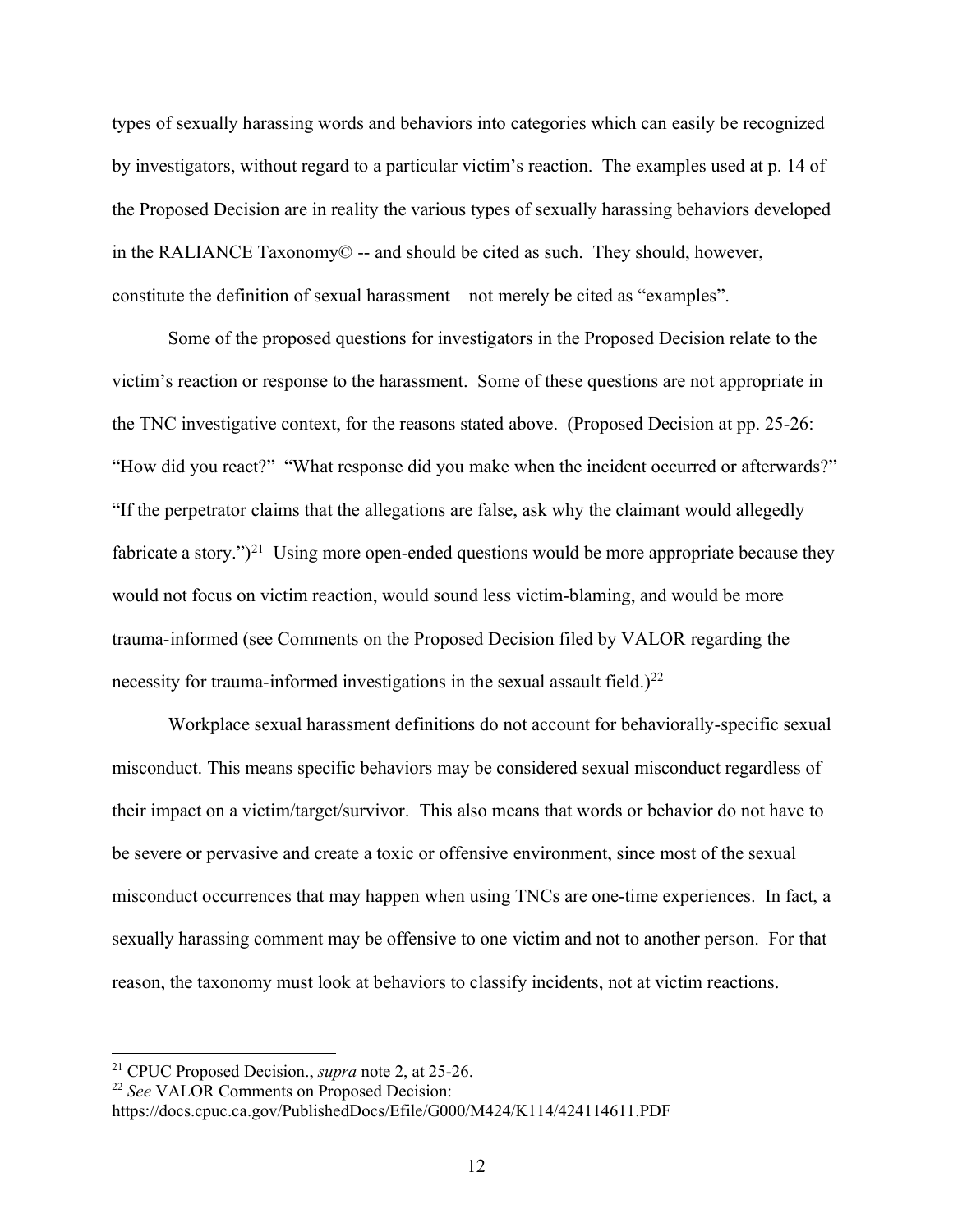types of sexually harassing words and behaviors into categories which can easily be recognized by investigators, without regard to a particular victim's reaction. The examples used at p. 14 of the Proposed Decision are in reality the various types of sexually harassing behaviors developed in the RALIANCE Taxonomy© -- and should be cited as such. They should, however, constitute the definition of sexual harassment—not merely be cited as "examples".

Some of the proposed questions for investigators in the Proposed Decision relate to the victim's reaction or response to the harassment. Some of these questions are not appropriate in the TNC investigative context, for the reasons stated above. (Proposed Decision at pp. 25-26: "How did you react?" "What response did you make when the incident occurred or afterwards?" "If the perpetrator claims that the allegations are false, ask why the claimant would allegedly fabricate a story." $)^{21}$  Using more open-ended questions would be more appropriate because they would not focus on victim reaction, would sound less victim-blaming, and would be more trauma-informed (see Comments on the Proposed Decision filed by VALOR regarding the necessity for trauma-informed investigations in the sexual assault field.)<sup>22</sup>

Workplace sexual harassment definitions do not account for behaviorally-specific sexual misconduct. This means specific behaviors may be considered sexual misconduct regardless of their impact on a victim/target/survivor. This also means that words or behavior do not have to be severe or pervasive and create a toxic or offensive environment, since most of the sexual misconduct occurrences that may happen when using TNCs are one-time experiences. In fact, a sexually harassing comment may be offensive to one victim and not to another person. For that reason, the taxonomy must look at behaviors to classify incidents, not at victim reactions.

<sup>21</sup> CPUC Proposed Decision., *supra* note 2, at 25-26.

<sup>22</sup> *See* VALOR Comments on Proposed Decision:

https://docs.cpuc.ca.gov/PublishedDocs/Efile/G000/M424/K114/424114611.PDF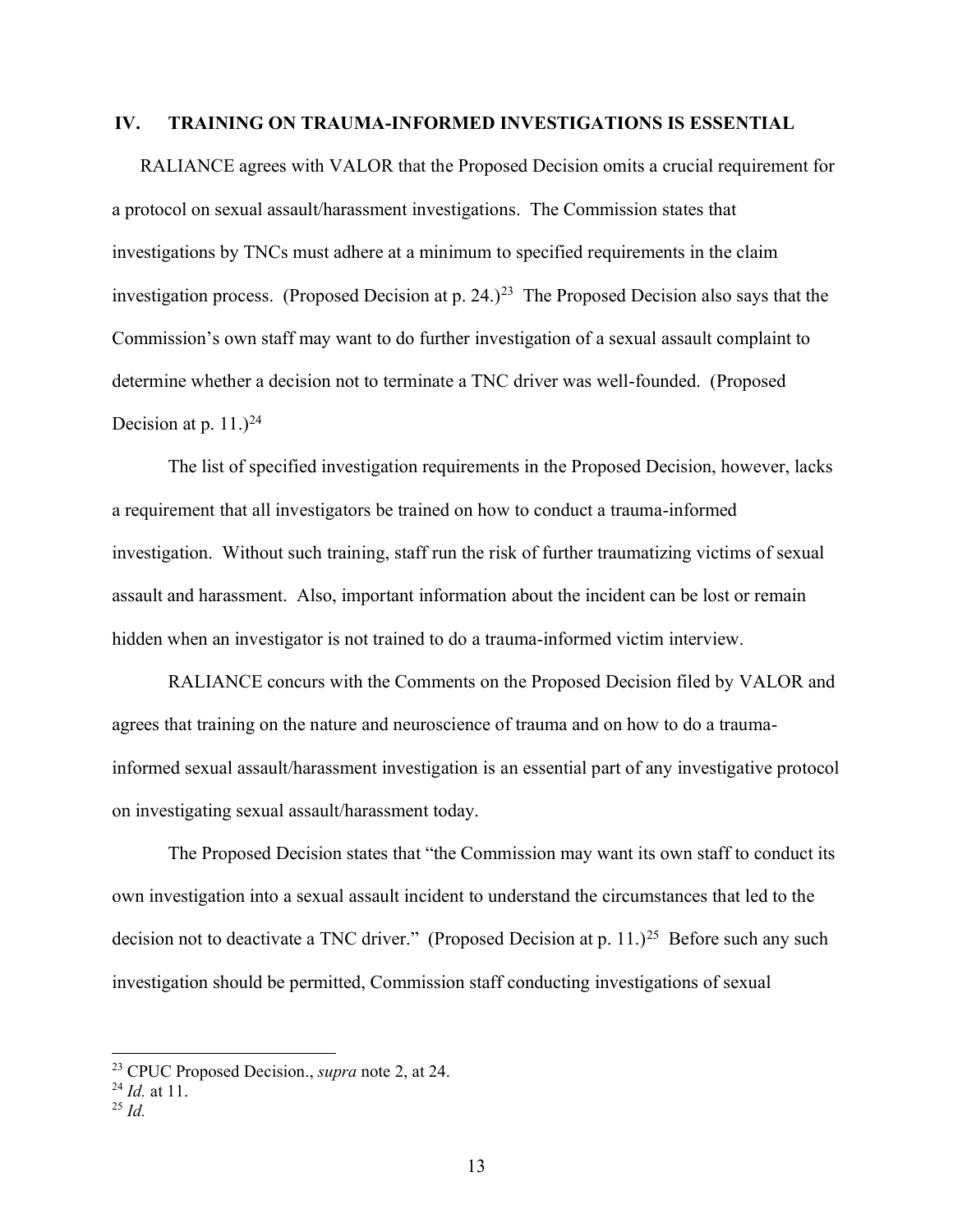### **IV. TRAINING ON TRAUMA-INFORMED INVESTIGATIONS IS ESSENTIAL**

RALIANCE agrees with VALOR that the Proposed Decision omits a crucial requirement for a protocol on sexual assault/harassment investigations. The Commission states that investigations by TNCs must adhere at a minimum to specified requirements in the claim investigation process. (Proposed Decision at p.  $24.$ )<sup>23</sup> The Proposed Decision also says that the Commission's own staff may want to do further investigation of a sexual assault complaint to determine whether a decision not to terminate a TNC driver was well-founded. (Proposed Decision at p. 11.) $^{24}$ 

The list of specified investigation requirements in the Proposed Decision, however, lacks a requirement that all investigators be trained on how to conduct a trauma-informed investigation. Without such training, staff run the risk of further traumatizing victims of sexual assault and harassment. Also, important information about the incident can be lost or remain hidden when an investigator is not trained to do a trauma-informed victim interview.

RALIANCE concurs with the Comments on the Proposed Decision filed by VALOR and agrees that training on the nature and neuroscience of trauma and on how to do a traumainformed sexual assault/harassment investigation is an essential part of any investigative protocol on investigating sexual assault/harassment today.

The Proposed Decision states that "the Commission may want its own staff to conduct its own investigation into a sexual assault incident to understand the circumstances that led to the decision not to deactivate a TNC driver." (Proposed Decision at p. 11.)<sup>25</sup> Before such any such investigation should be permitted, Commission staff conducting investigations of sexual

<sup>23</sup> CPUC Proposed Decision., *supra* note 2, at 24.

<sup>24</sup> *Id.* at 11.

<sup>25</sup> *Id.*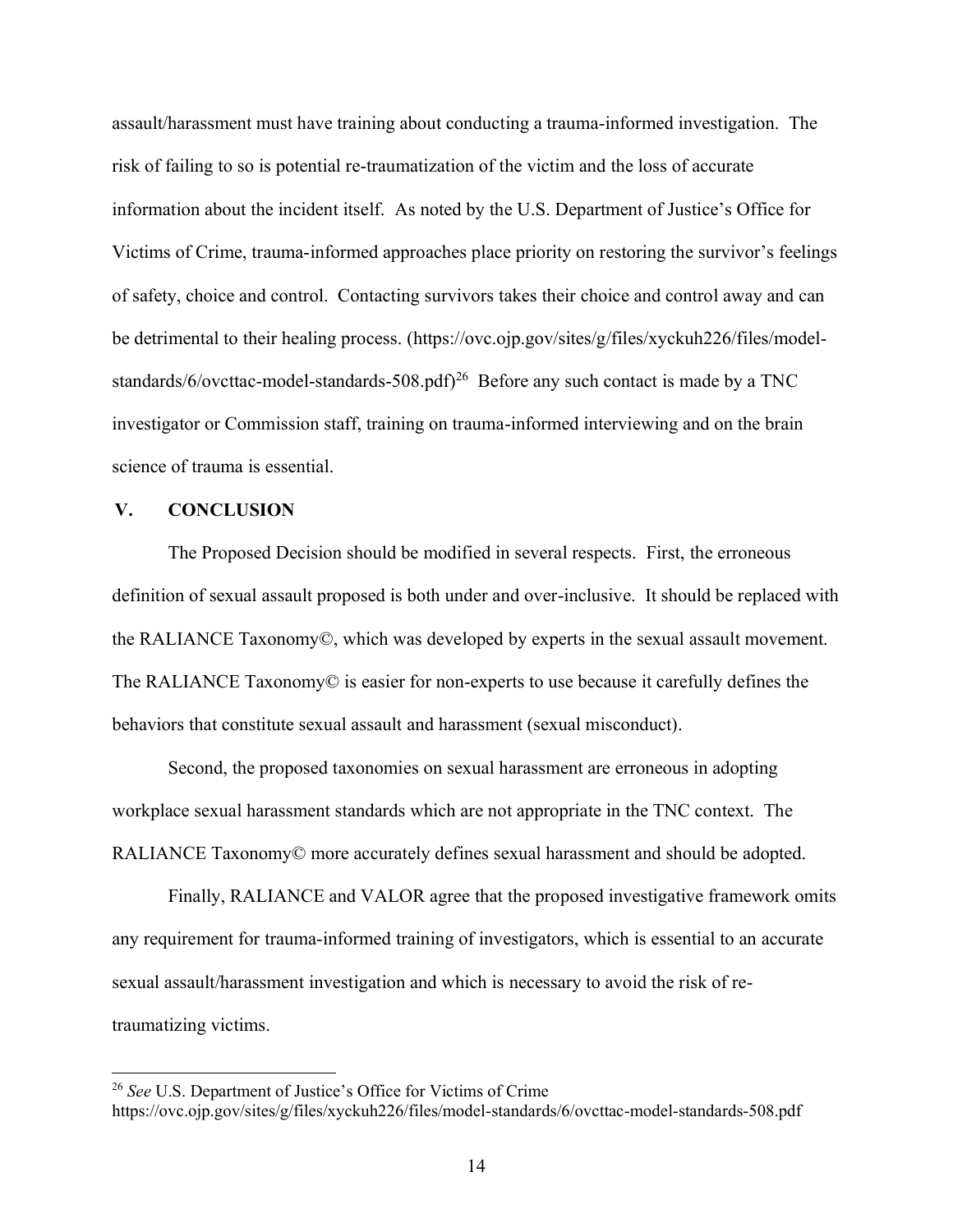assault/harassment must have training about conducting a trauma-informed investigation. The risk of failing to so is potential re-traumatization of the victim and the loss of accurate information about the incident itself. As noted by the U.S. Department of Justice's Office for Victims of Crime, trauma-informed approaches place priority on restoring the survivor's feelings of safety, choice and control. Contacting survivors takes their choice and control away and can be detrimental to their healing process. (https://ovc.ojp.gov/sites/g/files/xyckuh226/files/modelstandards/6/ovcttac-model-standards-508.pdf)<sup>26</sup> Before any such contact is made by a TNC investigator or Commission staff, training on trauma-informed interviewing and on the brain science of trauma is essential.

### **V. CONCLUSION**

The Proposed Decision should be modified in several respects. First, the erroneous definition of sexual assault proposed is both under and over-inclusive. It should be replaced with the RALIANCE Taxonomy©, which was developed by experts in the sexual assault movement. The RALIANCE Taxonomy© is easier for non-experts to use because it carefully defines the behaviors that constitute sexual assault and harassment (sexual misconduct).

Second, the proposed taxonomies on sexual harassment are erroneous in adopting workplace sexual harassment standards which are not appropriate in the TNC context. The RALIANCE Taxonomy© more accurately defines sexual harassment and should be adopted.

Finally, RALIANCE and VALOR agree that the proposed investigative framework omits any requirement for trauma-informed training of investigators, which is essential to an accurate sexual assault/harassment investigation and which is necessary to avoid the risk of retraumatizing victims.

<sup>26</sup> *See* U.S. Department of Justice's Office for Victims of Crime

https://ovc.ojp.gov/sites/g/files/xyckuh226/files/model-standards/6/ovcttac-model-standards-508.pdf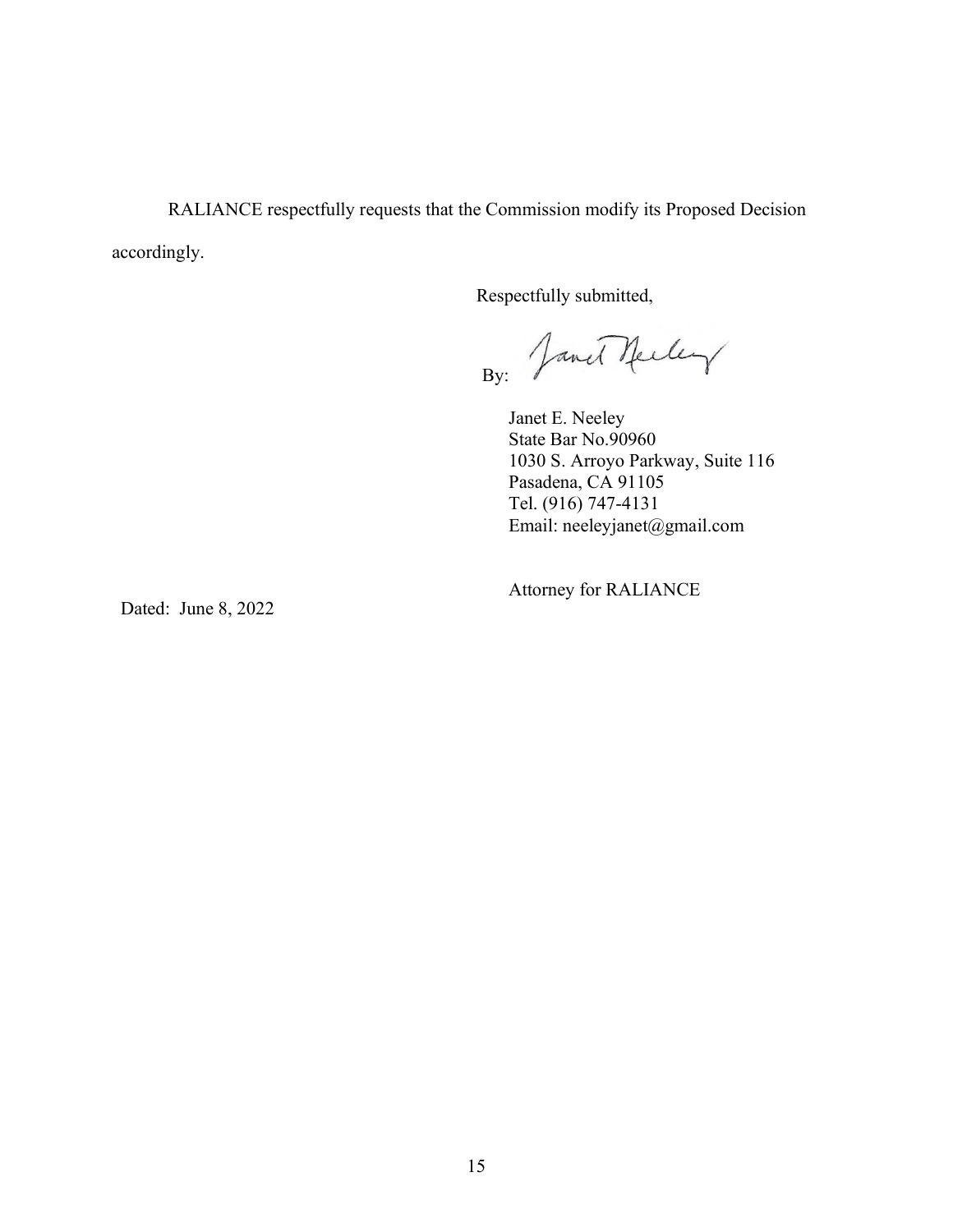RALIANCE respectfully requests that the Commission modify its Proposed Decision accordingly.

Respectfully submitted,

By: Jamet Neeley

Janet E. Neeley State Bar No.90960 1030 S. Arroyo Parkway, Suite 116 Pasadena, CA 91105 Tel. (916) 747-4131 Email: neeleyjanet@gmail.com

Attorney for RALIANCE

Dated: June 8, 2022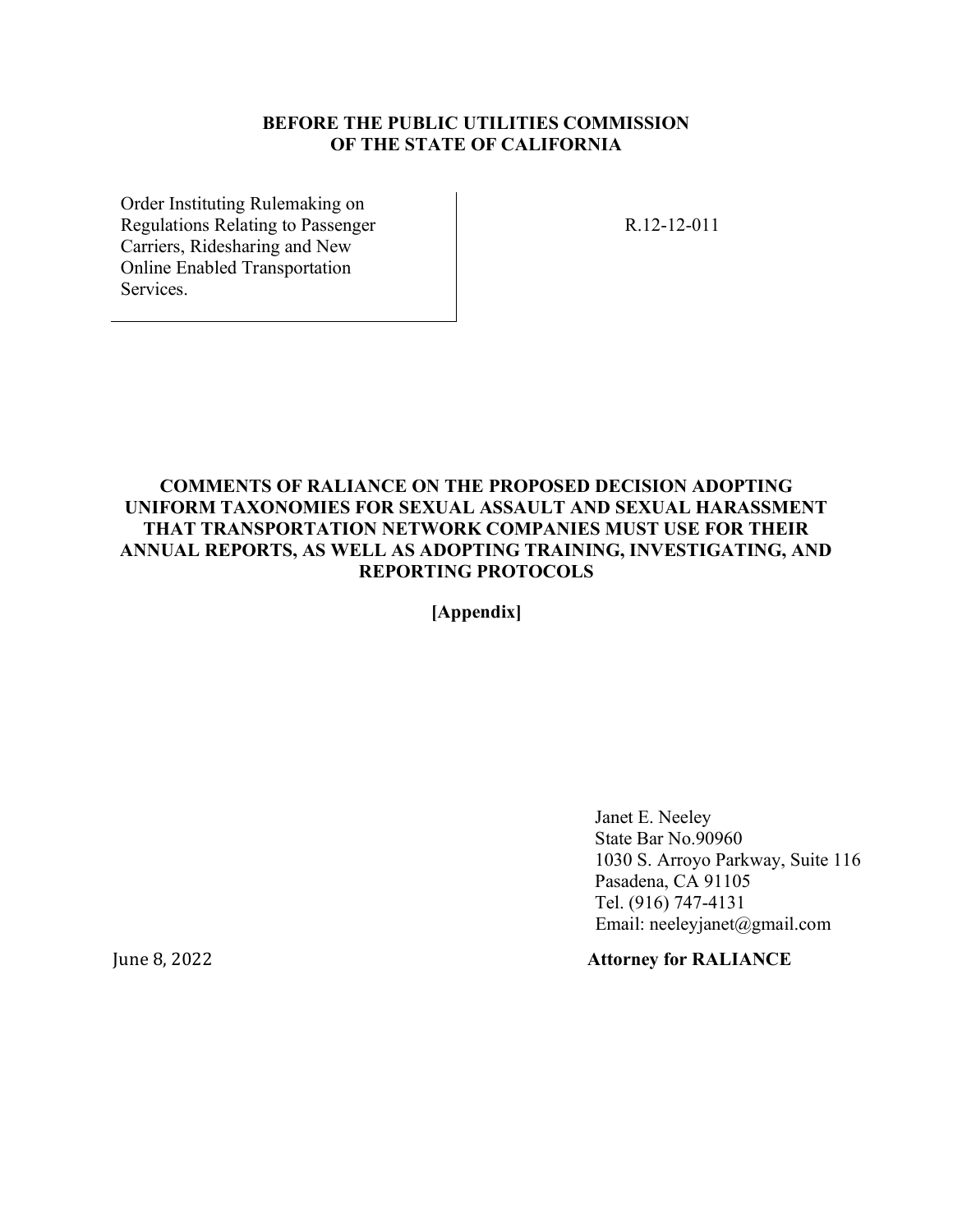### **BEFORE THE PUBLIC UTILITIES COMMISSION OF THE STATE OF CALIFORNIA**

Order Instituting Rulemaking on Regulations Relating to Passenger Carriers, Ridesharing and New Online Enabled Transportation Services.

R.12-12-011

### **COMMENTS OF RALIANCE ON THE [PROPOSED DECISION A](http://docs.cpuc.ca.gov/PublishedDocs/Efile/G000/M326/K933/326933637.PDF)DOPTING UNIFORM TAXONOMIES FOR SEXUAL ASSAULT AND SEXUAL HARASSMENT THAT TRANSPORTATION NETWORK COMPANIES MUST USE FOR THEIR ANNUAL REPORTS, AS WELL AS ADOPTING TRAINING, INVESTIGATING, AND REPORTING PROTOCOLS**

**[Appendix]**

Janet E. Neeley State Bar No.90960 1030 S. Arroyo Parkway, Suite 116 Pasadena, CA 91105 Tel. (916) 747-4131 Email: neeleyjanet@gmail.com

### June 8, 2022 **Attorney for RALIANCE**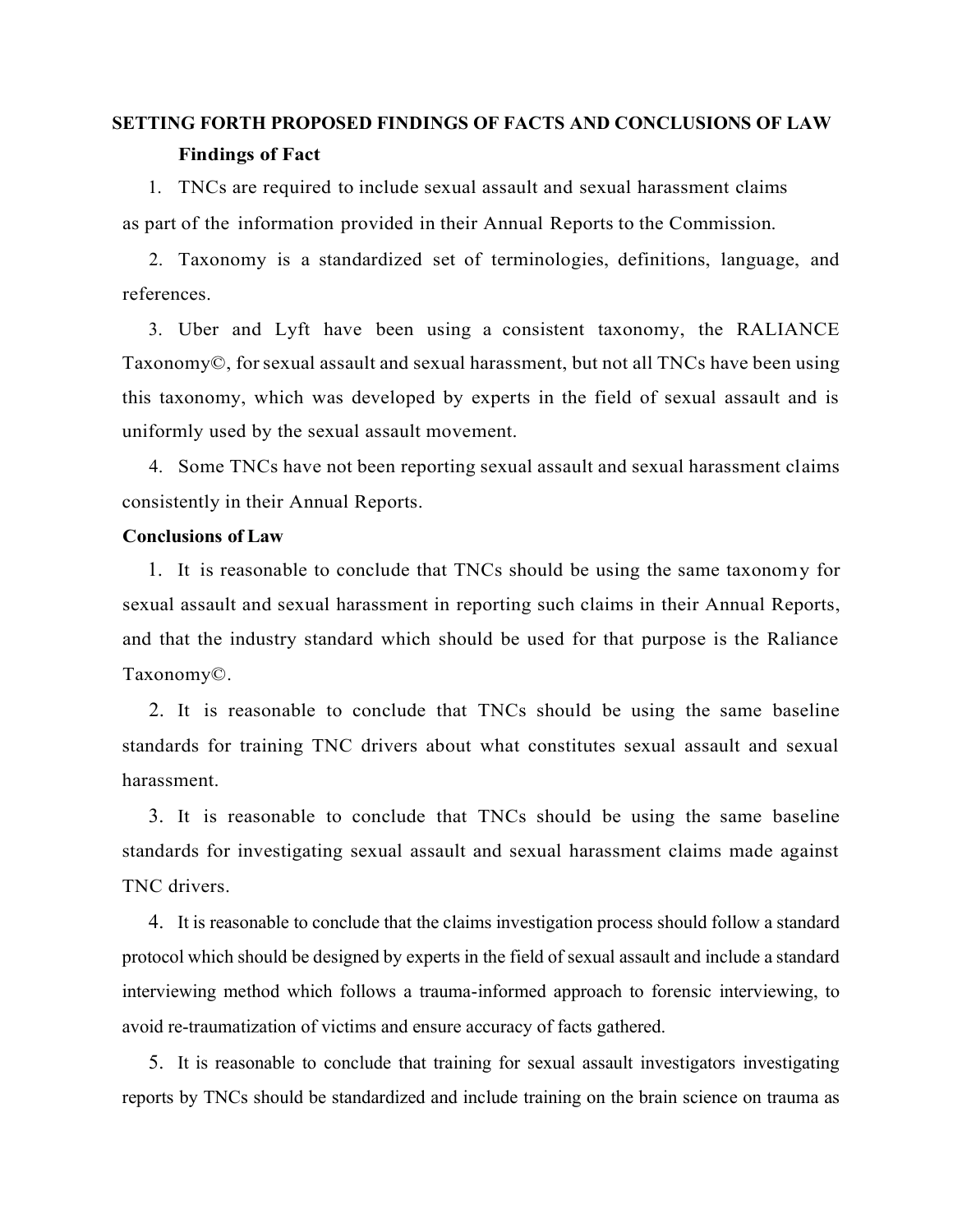# **SETTING FORTH PROPOSED FINDINGS OF FACTS AND CONCLUSIONS OF LAW Findings of Fact**

1. TNCs are required to include sexual assault and sexual harassment claims as part of the information provided in their Annual Reports to the Commission.

2. Taxonomy is a standardized set of terminologies, definitions, language, and references.

3. Uber and Lyft have been using a consistent taxonomy, the RALIANCE Taxonomy©, forsexual assault and sexual harassment, but not all TNCs have been using this taxonomy, which was developed by experts in the field of sexual assault and is uniformly used by the sexual assault movement.

4. Some TNCs have not been reporting sexual assault and sexual harassment claims consistently in their Annual Reports.

### **Conclusions of Law**

1. It is reasonable to conclude that TNCs should be using the same taxonomy for sexual assault and sexual harassment in reporting such claims in their Annual Reports, and that the industry standard which should be used for that purpose is the Raliance Taxonomy©.

2. It is reasonable to conclude that TNCs should be using the same baseline standards for training TNC drivers about what constitutes sexual assault and sexual harassment.

3. It is reasonable to conclude that TNCs should be using the same baseline standards for investigating sexual assault and sexual harassment claims made against TNC drivers.

4. It is reasonable to conclude that the claims investigation process should follow a standard protocol which should be designed by experts in the field of sexual assault and include a standard interviewing method which follows a trauma-informed approach to forensic interviewing, to avoid re-traumatization of victims and ensure accuracy of facts gathered.

5. It is reasonable to conclude that training for sexual assault investigators investigating reports by TNCs should be standardized and include training on the brain science on trauma as